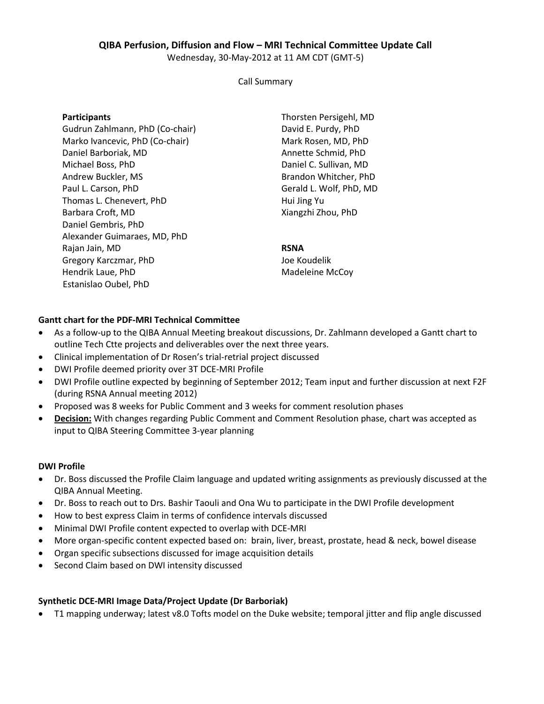# **QIBA Perfusion, Diffusion and Flow – MRI Technical Committee Update Call**

Wednesday, 30-May-2012 at 11 AM CDT (GMT-5)

Call Summary

#### **Participants**

Gudrun Zahlmann, PhD (Co-chair) Marko Ivancevic, PhD (Co-chair) Daniel Barboriak, MD Michael Boss, PhD Andrew Buckler, MS Paul L. Carson, PhD Thomas L. Chenevert, PhD Barbara Croft, MD Daniel Gembris, PhD Alexander Guimaraes, MD, PhD Rajan Jain, MD Gregory Karczmar, PhD Hendrik Laue, PhD Estanislao Oubel, PhD

Thorsten Persigehl, MD David E. Purdy, PhD Mark Rosen, MD, PhD Annette Schmid, PhD Daniel C. Sullivan, MD Brandon Whitcher, PhD Gerald L. Wolf, PhD, MD Hui Jing Yu Xiangzhi Zhou, PhD

#### **RSNA**

Joe Koudelik Madeleine McCoy

#### **Gantt chart for the PDF-MRI Technical Committee**

- As a follow-up to the QIBA Annual Meeting breakout discussions, Dr. Zahlmann developed a Gantt chart to outline Tech Ctte projects and deliverables over the next three years.
- Clinical implementation of Dr Rosen's trial-retrial project discussed
- DWI Profile deemed priority over 3T DCE-MRI Profile
- DWI Profile outline expected by beginning of September 2012; Team input and further discussion at next F2F (during RSNA Annual meeting 2012)
- Proposed was 8 weeks for Public Comment and 3 weeks for comment resolution phases
- **Decision:** With changes regarding Public Comment and Comment Resolution phase, chart was accepted as input to QIBA Steering Committee 3-year planning

#### **DWI Profile**

- Dr. Boss discussed the Profile Claim language and updated writing assignments as previously discussed at the QIBA Annual Meeting.
- Dr. Boss to reach out to Drs. Bashir Taouli and Ona Wu to participate in the DWI Profile development
- How to best express Claim in terms of confidence intervals discussed
- Minimal DWI Profile content expected to overlap with DCE-MRI
- More organ-specific content expected based on: brain, liver, breast, prostate, head & neck, bowel disease
- Organ specific subsections discussed for image acquisition details
- Second Claim based on DWI intensity discussed

## **Synthetic DCE-MRI Image Data/Project Update (Dr Barboriak)**

• T1 mapping underway; latest v8.0 Tofts model on the Duke website; temporal jitter and flip angle discussed